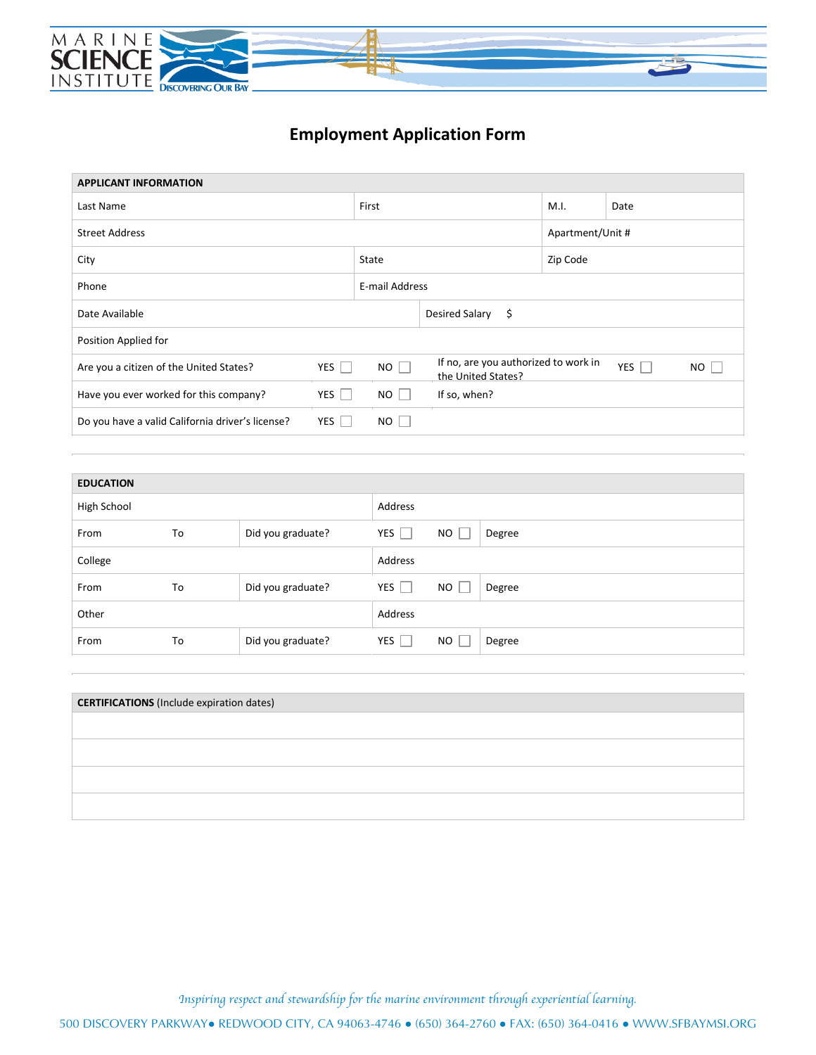

## **Employment Application Form**

| <b>APPLICANT INFORMATION</b>                     |                           |                        |                                                            |                  |            |     |  |
|--------------------------------------------------|---------------------------|------------------------|------------------------------------------------------------|------------------|------------|-----|--|
| Last Name                                        | First                     |                        | M.I.                                                       | Date             |            |     |  |
| <b>Street Address</b>                            |                           |                        |                                                            | Apartment/Unit # |            |     |  |
| City                                             | State                     |                        | Zip Code                                                   |                  |            |     |  |
| Phone                                            | E-mail Address            |                        |                                                            |                  |            |     |  |
| Date Available                                   |                           | Desired Salary<br>- \$ |                                                            |                  |            |     |  |
| Position Applied for                             |                           |                        |                                                            |                  |            |     |  |
| Are you a citizen of the United States?          | $NO$ $\Box$<br>YES $\Box$ |                        | If no, are you authorized to work in<br>the United States? |                  | YES $\Box$ | NO. |  |
| Have you ever worked for this company?           | YES                       | $NO$                   | If so, when?                                               |                  |            |     |  |
| Do you have a valid California driver's license? | YES                       | $NO$                   |                                                            |                  |            |     |  |
|                                                  |                           |                        |                                                            |                  |            |     |  |

| <b>EDUCATION</b> |    |                   |                                 |    |        |  |
|------------------|----|-------------------|---------------------------------|----|--------|--|
| High School      |    | Address           |                                 |    |        |  |
| From             | To | Did you graduate? | YES<br>n i                      | NO | Degree |  |
| College          |    |                   | Address                         |    |        |  |
| From             | To | Did you graduate? | $YES$                           | NO | Degree |  |
| Other            |    |                   | Address                         |    |        |  |
| From             | To | Did you graduate? | YES<br>$\overline{\phantom{a}}$ | NO | Degree |  |

| <b>CERTIFICATIONS</b> (Include expiration dates) |  |
|--------------------------------------------------|--|
|                                                  |  |
|                                                  |  |
|                                                  |  |
|                                                  |  |
|                                                  |  |

*Inspiring respect and stewardship for the marine environment through experiential learning.*

500 DISCOVERY PARKWAY● REDWOOD CITY, CA 94063-4746 ● (650) 364-2760 ● FAX: (650) 364-0416 ● WWW.SFBAYMSI.ORG